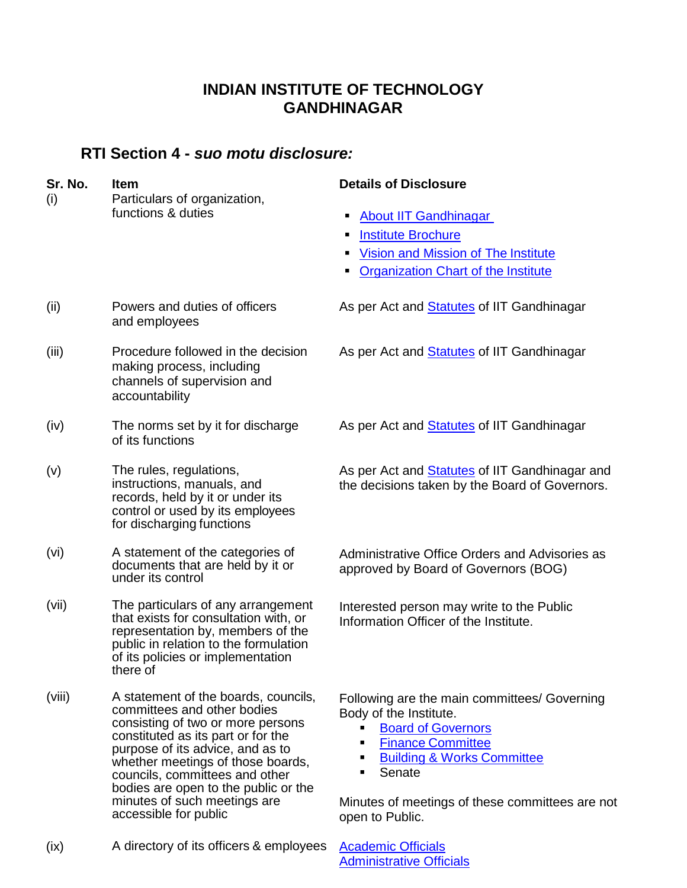# **INDIAN INSTITUTE OF TECHNOLOGY GANDHINAGAR**

## **RTI Section 4 -** *suo motu disclosure:*

(i) Particulars of organization,

### **Sr. No. Item Details of Disclosure**

- functions & duties **About IIT [Gandhinagar](https://iitgn.ac.in/about)** 
	- **Institute [Brochure](https://www.iitgn.ac.in/brochures.htm)**
	- **[Vision and Mission of The](https://www.iitgn.ac.in/iitgn_new/sites/default/files/Visionandmission.pdf) Institute**
	- **[Organization Chart of the](https://www.iitgn.ac.in/RTI/Organization_Chart_IITGN.pdf) Institute**

As per Act and **Statutes** of IIT Gandhinagar

As per Act and [Statutes](http://iitgn.ac.in/assets/pdfs/rti/First_Statutes_IITGN.pdf) of IIT Gandhinagar

- (ii) Powers and duties of officers and employees
- (iii) Procedure followed in the decision making process, including channels of supervision and accountability
- (iv) The norms set by it for discharge of its functions
- (v) The rules, regulations, instructions, manuals, and records, held by it or under its control or used by its employees for discharging functions
- (vi) A statement of the categories of documents that are held by it or under its control
- (vii) The particulars of any arrangement that exists for consultation with, or representation by, members of the public in relation to the formulation of its policies or implementation there of
- (viii) A statement of the boards, councils, committees and other bodies consisting of two or more persons constituted as its part or for the purpose of its advice, and as to whether meetings of those boards, councils, committees and other bodies are open to the public or the minutes of such meetings are accessible for public

As per Act and [Statutes](http://iitgn.ac.in/assets/pdfs/rti/First_Statutes_IITGN.pdf) of IIT Gandhinagar

As per Act and [Statutes](http://iitgn.ac.in/assets/pdfs/rti/First_Statutes_IITGN.pdf) of IIT Gandhinagar and the decisions taken by the Board of Governors.

Administrative Office Orders and Advisories as approved by Board of Governors (BOG)

Interested person may write to the Public Information Officer of the Institute.

Following are the main committees/ Governing Body of the Institute.

- Board of [Governors](https://www.iitgn.ac.in/admin-bog.htm)
- **Finance [Committee](https://www.iitgn.ac.in/finance-committee.htm)**
- **[Building & Works](https://www.iitgn.ac.in/building-works-committee.htm) Committee**
- **Senate**

Minutes of meetings of these committees are not open to Public.

(ix) A directory of its officers & employees [Academic](https://www.iitgn.ac.in/academic-officials.htm) Officials

[Administrative Officials](http://iitgn.ac.in/staff)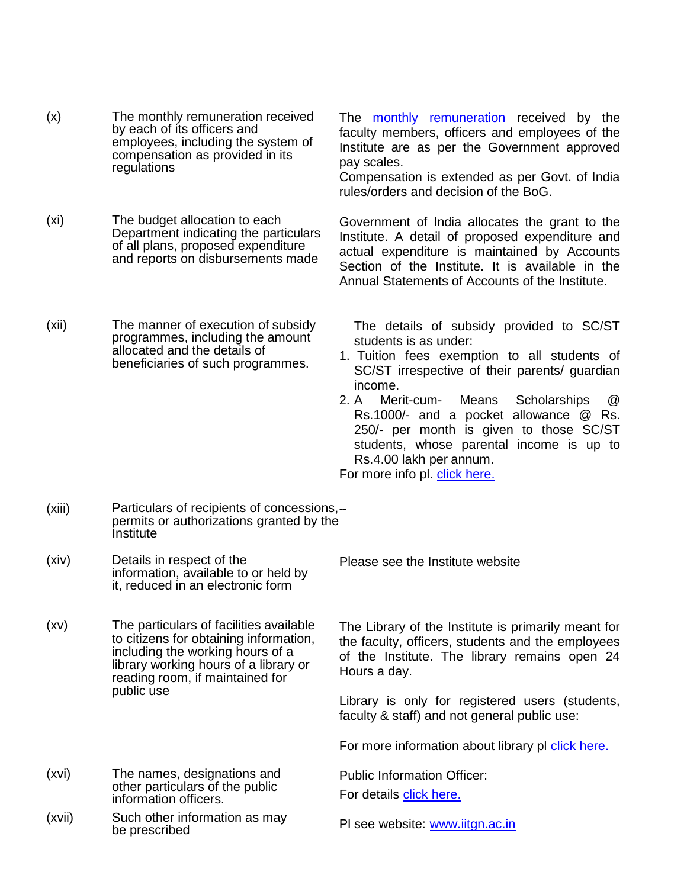- (x) The monthly remuneration received by each of its officers and employees, including the system of compensation as provided in its regulations
- (xi) The budget allocation to each Department indicating the particulars of all plans, proposed expenditure and reports on disbursements made
- (xii) The manner of execution of subsidy programmes, including the amount allocated and the details of beneficiaries of such programmes.

The [monthly remuneration](http://iitgn.ac.in/assets/pdfs/rti/Pay_Structure_of_IITGN_Employees.pdf) received by the faculty members, officers and employees of the Institute are as per the Government approved pay scales.

Compensation is extended as per Govt. of India rules/orders and decision of the BoG.

Government of India allocates the grant to the Institute. A detail of proposed expenditure and actual expenditure is maintained by Accounts Section of the Institute. It is available in the Annual Statements of Accounts of the Institute.

The details of subsidy provided to SC/ST students is as under:

- 1. Tuition fees exemption to all students of SC/ST irrespective of their parents/ guardian income.
- 2. A Merit-cum- Means Scholarships @ Rs.1000/- and a pocket allowance @ Rs. 250/- per month is given to those SC/ST students, whose parental income is up to Rs.4.00 lakh per annum.

For more info pl. [click here.](https://www.iitgn.ac.in/student-scholarships.htm)

Please see the Institute website

- (xiii) Particulars of recipients of concessions,- permits or authorizations granted by the Institute
- (xiv) Details in respect of the information, available to or held by it, reduced in an electronic form

(xv) The particulars of facilities available to citizens for obtaining information, including the working hours of a library working hours of a library or reading room, if maintained for public use

The Library of the Institute is primarily meant for the faculty, officers, students and the employees of the Institute. The library remains open 24 Hours a day.

Library is only for registered users (students, faculty & staff) and not general public use:

For more information about library pl [click here.](https://www.iitgn.ac.in/library.htm)

Public Information Officer:

For details [click here.](https://www.iitgn.ac.in/RTI/rti.htm)

- PI see website: [www.iitgn.ac.in](http://www.iitgn.ac.in/)
- (xvi) The names, designations and other particulars of the public information officers.
- (xvii) Such other information as may be prescribed